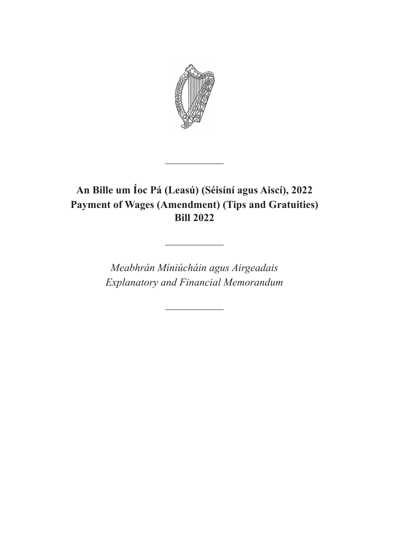

# **An Bille um Íoc Pá (Leasú) (Séisíní agus Aiscí), 2022 Payment of Wages (Amendment) (Tips and Gratuities) Bill 2022**

 $\frac{1}{2}$ 

*Meabhrán Míniúcháin agus Airgeadais Explanatory and Financial Memorandum*

 $\overline{\phantom{a}}$ 

 $\frac{1}{2}$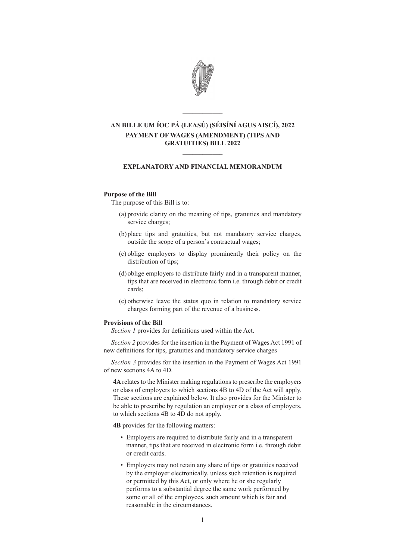

## **AN BILLE UM ÍOC PÁ (LEASÚ) (SÉISÍNÍ AGUS AISCÍ), 2022 PAYMENT OF WAGES (AMENDMENT) (TIPS AND GRATUITIES) BILL 2022**

 $\mathcal{L}=\mathcal{L}$ 

### **EXPLANATORY AND FINANCIAL MEMORANDUM**  $\frac{1}{2}$

 $\mathcal{L}=\mathcal{L}$ 

#### **Purpose of the Bill**

The purpose of this Bill is to:

- (a) provide clarity on the meaning of tips, gratuities and mandatory service charges;
- (b) place tips and gratuities, but not mandatory service charges, outside the scope of a person's contractual wages;
- (c) oblige employers to display prominently their policy on the distribution of tips;
- (d) oblige employers to distribute fairly and in a transparent manner, tips that are received in electronic form i.e. through debit or credit cards;
- (e) otherwise leave the status quo in relation to mandatory service charges forming part of the revenue of a business.

#### **Provisions of the Bill**

*Section 1* provides for definitions used within the Act.

*Section 2* provides for the insertion in the Payment of Wages Act 1991 of new definitions for tips, gratuities and mandatory service charges

*Section 3* provides for the insertion in the Payment of Wages Act 1991 of new sections 4A to 4D.

**4A** relates to the Minister making regulations to prescribe the employers or class of employers to which sections 4B to 4D of the Act will apply. These sections are explained below. It also provides for the Minister to be able to prescribe by regulation an employer or a class of employers, to which sections 4B to 4D do not apply.

**4B** provides for the following matters:

- Employers are required to distribute fairly and in a transparent manner, tips that are received in electronic form i.e. through debit or credit cards.
- Employers may not retain any share of tips or gratuities received by the employer electronically, unless such retention is required or permitted by this Act, or only where he or she regularly performs to a substantial degree the same work performed by some or all of the employees, such amount which is fair and reasonable in the circumstances.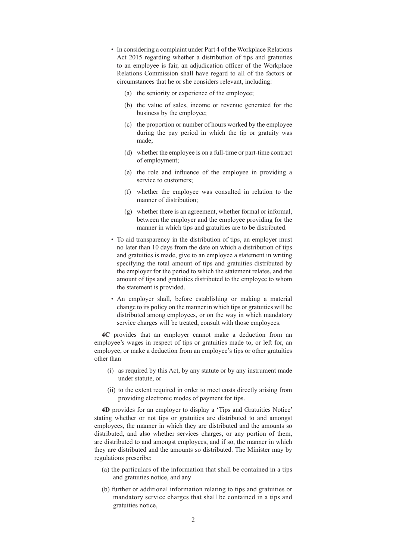- In considering a complaint under Part 4 of the Workplace Relations Act 2015 regarding whether a distribution of tips and gratuities to an employee is fair, an adjudication officer of the Workplace Relations Commission shall have regard to all of the factors or circumstances that he or she considers relevant, including:
	- (a) the seniority or experience of the employee;
	- (b) the value of sales, income or revenue generated for the business by the employee;
	- (c) the proportion or number of hours worked by the employee during the pay period in which the tip or gratuity was made;
	- (d) whether the employee is on a full-time or part-time contract of employment;
	- (e) the role and influence of the employee in providing a service to customers;
	- (f) whether the employee was consulted in relation to the manner of distribution;
	- (g) whether there is an agreement, whether formal or informal, between the employer and the employee providing for the manner in which tips and gratuities are to be distributed.
- To aid transparency in the distribution of tips, an employer must no later than 10 days from the date on which a distribution of tips and gratuities is made, give to an employee a statement in writing specifying the total amount of tips and gratuities distributed by the employer for the period to which the statement relates, and the amount of tips and gratuities distributed to the employee to whom the statement is provided.
- An employer shall, before establishing or making a material change to its policy on the manner in which tips or gratuities will be distributed among employees, or on the way in which mandatory service charges will be treated, consult with those employees.

**4C** provides that an employer cannot make a deduction from an employee's wages in respect of tips or gratuities made to, or left for, an employee, or make a deduction from an employee's tips or other gratuities other than–

- (i) as required by this Act, by any statute or by any instrument made under statute, or
- (ii) to the extent required in order to meet costs directly arising from providing electronic modes of payment for tips.

**4D** provides for an employer to display a 'Tips and Gratuities Notice' stating whether or not tips or gratuities are distributed to and amongst employees, the manner in which they are distributed and the amounts so distributed, and also whether services charges, or any portion of them, are distributed to and amongst employees, and if so, the manner in which they are distributed and the amounts so distributed. The Minister may by regulations prescribe:

- (a) the particulars of the information that shall be contained in a tips and gratuities notice, and any
- (b) further or additional information relating to tips and gratuities or mandatory service charges that shall be contained in a tips and gratuities notice,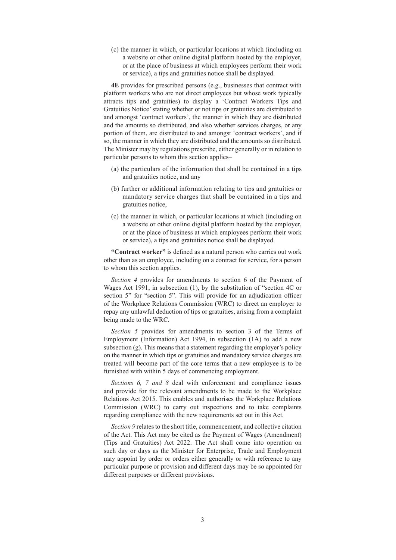(c) the manner in which, or particular locations at which (including on a website or other online digital platform hosted by the employer, or at the place of business at which employees perform their work or service), a tips and gratuities notice shall be displayed.

**4E** provides for prescribed persons (e.g., businesses that contract with platform workers who are not direct employees but whose work typically attracts tips and gratuities) to display a 'Contract Workers Tips and Gratuities Notice' stating whether or not tips or gratuities are distributed to and amongst 'contract workers', the manner in which they are distributed and the amounts so distributed, and also whether services charges, or any portion of them, are distributed to and amongst 'contract workers', and if so, the manner in which they are distributed and the amounts so distributed. The Minister may by regulations prescribe, either generally or in relation to particular persons to whom this section applies–

- (a) the particulars of the information that shall be contained in a tips and gratuities notice, and any
- (b) further or additional information relating to tips and gratuities or mandatory service charges that shall be contained in a tips and gratuities notice,
- (c) the manner in which, or particular locations at which (including on a website or other online digital platform hosted by the employer, or at the place of business at which employees perform their work or service), a tips and gratuities notice shall be displayed.

**"Contract worker"** is defined as a natural person who carries out work other than as an employee, including on a contract for service, for a person to whom this section applies.

*Section 4* provides for amendments to section 6 of the Payment of Wages Act 1991, in subsection (1), by the substitution of "section 4C or section 5" for "section 5". This will provide for an adjudication officer of the Workplace Relations Commission (WRC) to direct an employer to repay any unlawful deduction of tips or gratuities, arising from a complaint being made to the WRC.

*Section 5* provides for amendments to section 3 of the Terms of Employment (Information) Act 1994, in subsection (1A) to add a new subsection  $(g)$ . This means that a statement regarding the employer's policy on the manner in which tips or gratuities and mandatory service charges are treated will become part of the core terms that a new employee is to be furnished with within 5 days of commencing employment.

*Sections 6, 7 and 8* deal with enforcement and compliance issues and provide for the relevant amendments to be made to the Workplace Relations Act 2015. This enables and authorises the Workplace Relations Commission (WRC) to carry out inspections and to take complaints regarding compliance with the new requirements set out in this Act.

*Section 9* relates to the short title, commencement, and collective citation of the Act. This Act may be cited as the Payment of Wages (Amendment) (Tips and Gratuities) Act 2022. The Act shall come into operation on such day or days as the Minister for Enterprise, Trade and Employment may appoint by order or orders either generally or with reference to any particular purpose or provision and different days may be so appointed for different purposes or different provisions.